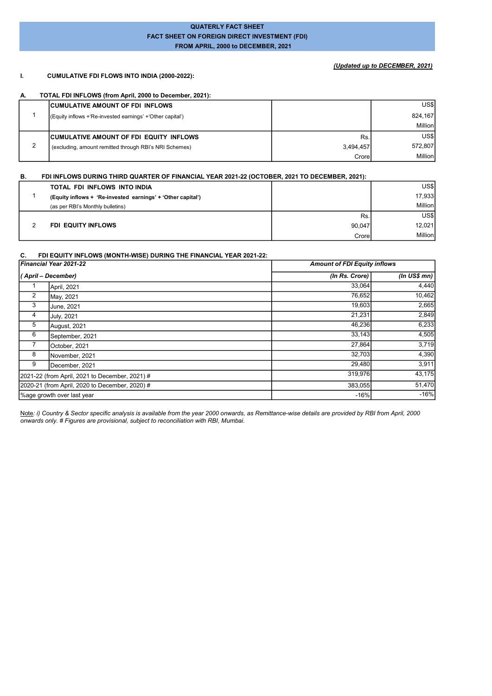### QUATERLY FACT SHEET FACT SHEET ON FOREIGN DIRECT INVESTMENT (FDI) FROM APRIL, 2000 to DECEMBER, 2021

### (Updated up to DECEMBER, 2021)

#### I. CUMULATIVE FDI FLOWS INTO INDIA (2000-2022):

#### A. TOTAL FDI INFLOWS (from April, 2000 to December, 2021):

| <b>CUMULATIVE AMOUNT OF FDI INFLOWS</b>                    |           | US\$I   |
|------------------------------------------------------------|-----------|---------|
| (Equity inflows + Re-invested earnings' + 'Other capital') |           | 824.167 |
|                                                            |           | Million |
| <b>CUMULATIVE AMOUNT OF FDI EQUITY INFLOWS</b>             | Rs.       | US\$I   |
| (excluding, amount remitted through RBI's NRI Schemes)     | 3.494.457 | 572.807 |
|                                                            | Crorel    | Million |

### B. FDI INFLOWS DURING THIRD QUARTER OF FINANCIAL YEAR 2021-22 (OCTOBER, 2021 TO DECEMBER, 2021):

| TOTAL FDI INFLOWS INTO INDIA                                |        | US\$    |
|-------------------------------------------------------------|--------|---------|
| (Equity inflows + 'Re-invested earnings' + 'Other capital') |        | 17,933  |
| (as per RBI's Monthly bulletins)                            |        | Million |
|                                                             | Rs.    | US\$l   |
| <b>FDI EQUITY INFLOWS</b>                                   | 90.047 | 12,021  |
|                                                             | Crore  | Million |

#### C. FDI EQUITY INFLOWS (MONTH-WISE) DURING THE FINANCIAL YEAR 2021-22:

|   | Financial Year 2021-22                         | <b>Amount of FDI Equity inflows</b> |                  |
|---|------------------------------------------------|-------------------------------------|------------------|
|   | ( April – December)                            | (In Rs. Crore)                      | (In US\$ mn) $ $ |
|   | April, 2021                                    | 33,064                              | 4,440            |
| 2 | May, 2021                                      | 76,652                              | 10,462           |
| 3 | June, 2021                                     | 19,603                              | 2,665            |
| 4 | <b>July, 2021</b>                              | 21,231                              | 2,849            |
| 5 | August, 2021                                   | 46,236                              | 6,233            |
| 6 | September, 2021                                | 33,143                              | 4,505            |
|   | October, 2021                                  | 27,864                              | 3,719            |
| 8 | November, 2021                                 | 32,703                              | 4,390            |
| 9 | December, 2021                                 | 29,480                              | 3,911            |
|   | 2021-22 (from April, 2021 to December, 2021) # | 319,976                             | 43,175           |
|   | 2020-21 (from April, 2020 to December, 2020) # | 383,055                             | 51,470           |
|   | Mage growth over last year                     | $-16%$                              | $-16%$           |

Note: i) Country & Sector specific analysis is available from the year 2000 onwards, as Remittance-wise details are provided by RBI from April, 2000 onwards only. # Figures are provisional, subject to reconciliation with RBI, Mumbai.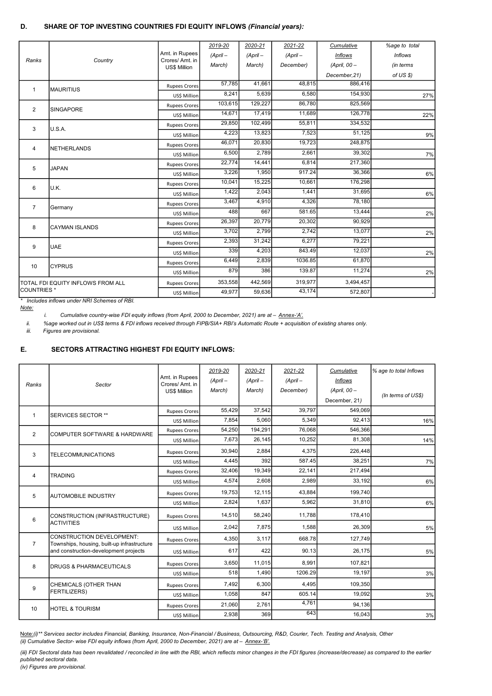### D. SHARE OF TOP INVESTING COUNTRIES FDI EQUITY INFLOWS (Financial years):

|                      |                                    |                                       | 2019-20    | 2020-21    | 2021-22    | Cumulative     | %age to total  |
|----------------------|------------------------------------|---------------------------------------|------------|------------|------------|----------------|----------------|
|                      |                                    | Amt. in Rupees                        | $(ApriI -$ | $(ApriI -$ | $(ApriI -$ | <b>Inflows</b> | <b>Inflows</b> |
| Ranks                | Country                            | Crores/Amt. in<br><b>US\$ Million</b> | March)     | March)     | December)  | (April, 00 -   | (in terms      |
|                      |                                    |                                       |            |            |            | December, 21)  | of US \$)      |
| $\overline{1}$       | <b>MAURITIUS</b>                   | <b>Rupees Crores</b>                  | 57,785     | 41,661     | 48.815     | 886,416        |                |
|                      |                                    | US\$ Million                          | 8,241      | 5.639      | 6,580      | 154,930        | 27%            |
| $\overline{2}$       | <b>SINGAPORE</b>                   | <b>Rupees Crores</b>                  | 103,615    | 129,227    | 86,780     | 825,569        |                |
|                      |                                    | US\$ Million                          | 14,671     | 17,419     | 11,689     | 126,778        | 22%            |
| 3                    | U.S.A.                             | <b>Rupees Crores</b>                  | 29,850     | 102,499    | 55,811     | 334,532        |                |
|                      |                                    | US\$ Million                          | 4,223      | 13,823     | 7,523      | 51,125         | 9%             |
| 4                    | <b>NETHERLANDS</b>                 | <b>Rupees Crores</b>                  | 46.071     | 20.830     | 19.723     | 248.875        |                |
|                      |                                    | US\$ Million                          | 6,500      | 2,789      | 2,661      | 39,302         | 7%             |
| 5                    | <b>JAPAN</b>                       | <b>Rupees Crores</b>                  | 22,774     | 14,441     | 6,814      | 217,360        |                |
|                      |                                    | US\$ Million                          | 3,226      | 1,950      | 917.24     | 36,366         | 6%             |
| 6                    | U.K.                               | <b>Rupees Crores</b>                  | 10.041     | 15.225     | 10.661     | 176,298        |                |
|                      |                                    | US\$ Million                          | 1,422      | 2,043      | 1,441      | 31,695         | 6%             |
| $\overline{7}$       | Germany                            | <b>Rupees Crores</b>                  | 3,467      | 4,910      | 4,326      | 78,180         |                |
|                      |                                    | US\$ Million                          | 488        | 667        | 581.65     | 13,444         | 2%             |
| 8                    | <b>CAYMAN ISLANDS</b>              | <b>Rupees Crores</b>                  | 26,397     | 20,779     | 20,302     | 90,929         |                |
|                      |                                    | US\$ Million                          | 3,702      | 2.799      | 2.742      | 13,077         | 2%             |
| 9                    | <b>UAE</b>                         | <b>Rupees Crores</b>                  | 2,393      | 31,242     | 6,277      | 79,221         |                |
|                      |                                    | US\$ Million                          | 339        | 4.203      | 843.49     | 12.037         | 2%             |
| 10                   | <b>CYPRUS</b>                      | <b>Rupees Crores</b>                  | 6,449      | 2.839      | 1036.85    | 61.870         |                |
|                      |                                    | US\$ Million                          | 879        | 386        | 139.87     | 11,274         | 2%             |
|                      | ITOTAL FDI EQUITY INFLOWS FROM ALL | <b>Rupees Crores</b>                  | 353,558    | 442,569    | 319,977    | 3,494,457      |                |
| <b>I</b> COUNTRIES * |                                    | US\$ Million                          | 49,977     | 59,636     | 43,174     | 572,807        |                |

\* Includes inflows under NRI Schemes of RBI.

Note:

i. Cumulative country-wise FDI equity inflows (from April, 2000 to December, 2021) are at - Annex-'A'.

ii. %age worked out in US\$ terms & FDI inflows received through FIPB/SIA+ RBI's Automatic Route + acquisition of existing shares only.

iii. Figures are provisional.

## E. SECTORS ATTRACTING HIGHEST FDI EQUITY INFLOWS:

|                 |                                                                                 | Amt. in Rupees                        | 2019-20<br>(Apri | 2020-21<br>$(ApriI -$ | 2021-22<br>$(ApriI -$ | Cumulative<br><b>Inflows</b> | % age to total Inflows |
|-----------------|---------------------------------------------------------------------------------|---------------------------------------|------------------|-----------------------|-----------------------|------------------------------|------------------------|
| Ranks           | Sector                                                                          | Crores/Amt. in<br><b>US\$ Million</b> | March)           | March)                | December)             | (April, 00 -                 |                        |
|                 |                                                                                 |                                       |                  |                       |                       | December, 21)                | (In terms of US\$)     |
| $\mathbf{1}$    | SERVICES SECTOR **                                                              | <b>Rupees Crores</b>                  | 55,429           | 37,542                | 39.797                | 549.069                      |                        |
|                 |                                                                                 | US\$ Million                          | 7,854            | 5.060                 | 5.349                 | 92,413                       | 16%                    |
| $\overline{2}$  | <b>COMPUTER SOFTWARE &amp; HARDWARE</b>                                         | <b>Rupees Crores</b>                  | 54,250           | 194.291               | 76.068                | 546.366                      |                        |
|                 |                                                                                 | US\$ Million                          | 7,673            | 26,145                | 10.252                | 81,308                       | 14%                    |
| 3               | <b>TELECOMMUNICATIONS</b>                                                       | <b>Rupees Crores</b>                  | 30,940           | 2,884                 | 4,375                 | 226,448                      |                        |
|                 |                                                                                 | US\$ Million                          | 4,445            | 392                   | 587.45                | 38,251                       | 7%                     |
| 4               | <b>TRADING</b>                                                                  | <b>Rupees Crores</b>                  | 32,406           | 19.349                | 22.141                | 217,494                      |                        |
|                 |                                                                                 | US\$ Million                          | 4,574            | 2,608                 | 2,989                 | 33,192                       | 6%                     |
| 5               | <b>I</b> AUTOMOBILE INDUSTRY                                                    | <b>Rupees Crores</b>                  | 19,753           | 12,115                | 43.884                | 199,740                      |                        |
|                 |                                                                                 | US\$ Million                          | 2,824            | 1.637                 | 5,962                 | 31,810                       | 6%                     |
| $6\phantom{1}6$ | CONSTRUCTION (INFRASTRUCTURE)                                                   | <b>Rupees Crores</b>                  | 14,510           | 58.240                | 11.788                | 178,410                      |                        |
|                 | <b>ACTIVITIES</b>                                                               | US\$ Million                          | 2,042            | 7.875                 | 1.588                 | 26,309                       | 5%                     |
| $\overline{7}$  | <b>CONSTRUCTION DEVELOPMENT:</b><br>Townships, housing, built-up infrastructure | <b>Rupees Crores</b>                  | 4,350            | 3,117                 | 668.78                | 127,749                      |                        |
|                 | and construction-development projects                                           | US\$ Million                          | 617              | 422                   | 90.13                 | 26,175                       | 5%                     |
| 8               | <b>IDRUGS &amp; PHARMACEUTICALS</b>                                             | <b>Rupees Crores</b>                  | 3,650            | 11,015                | 8.991                 | 107,821                      |                        |
|                 |                                                                                 | US\$ Million                          | 518              | 1,490                 | 1206.29               | 19,197                       | 3%                     |
| 9               | CHEMICALS (OTHER THAN                                                           | <b>Rupees Crores</b>                  | 7,492            | 6,300                 | 4,495                 | 109,350                      |                        |
|                 | <b>FERTILIZERS)</b>                                                             | US\$ Million                          | 1,058            | 847                   | 605.14                | 19,092                       | 3%                     |
| 10              | <b>I</b> HOTEL & TOURISM                                                        | <b>Rupees Crores</b>                  | 21,060           | 2,761                 | 4,761                 | 94,136                       |                        |
|                 |                                                                                 | US\$ Million                          | 2,938            | 369                   | 643                   | 16,043                       | 3%                     |

Note:(i)\*\* Services sector includes Financial, Banking, Insurance, Non-Financial / Business, Outsourcing, R&D, Courier, Tech. Testing and Analysis, Other (ii) Cumulative Sector- wise FDI equity inflows (from April, 2000 to December, 2021) are at – <u>Annex-'B'.</u>

(iii) FDI Sectoral data has been revalidated / reconciled in line with the RBI, which reflects minor changes in the FDI figures (increase/decrease) as compared to the earlier published sectoral data.

(iv) Figures are provisional.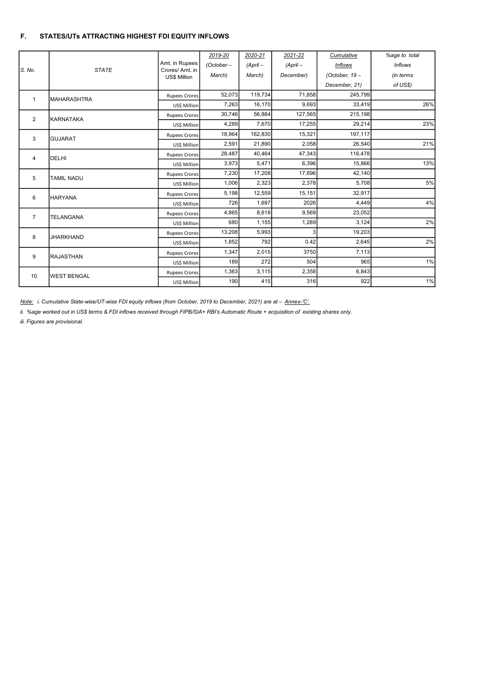### F. STATES/UTs ATTRACTING HIGHEST FDI EQUITY INFLOWS

|                | <b>STATE</b>       | Amt. in Rupees<br>Crores/Amt. in | 2019-20      | 2020-21    | 2021-22    | Cumulative      | %age to total  |
|----------------|--------------------|----------------------------------|--------------|------------|------------|-----------------|----------------|
| S. No.         |                    |                                  | $(October -$ | $(ApriI -$ | $(ApriI -$ | <b>Inflows</b>  | <b>Inflows</b> |
|                |                    | US\$ Million                     | March)       | March)     | December)  | (October, $19-$ | (in terms      |
|                |                    |                                  |              |            |            | December, 21)   | of US\$)       |
| $\mathbf{1}$   | <b>MAHARASHTRA</b> | <b>Rupees Crores</b>             | 52,073       | 119,734    | 71,858     | 245,799         |                |
|                |                    | US\$ Million                     | 7,263        | 16,170     | 9.693      | 33,419          | 26%            |
| $\overline{2}$ | <b>IKARNATAKA</b>  | <b>Rupees Crores</b>             | 30,746       | 56,884     | 127,565    | 215,198         |                |
|                |                    | US\$ Million                     | 4.289        | 7.670      | 17,255     | 29,214          | 23%            |
| 3              | <b>GUJARAT</b>     | <b>Rupees Crores</b>             | 18,964       | 162,830    | 15,321     | 197,117         |                |
|                |                    | US\$ Million                     | 2,591        | 21,890     | 2,058      | 26,540          | 21%            |
| 4              | <b>I</b> DELHI     | <b>Rupees Crores</b>             | 28,487       | 40,464     | 47,343     | 116,478         |                |
|                |                    | US\$ Million                     | 3,973        | 5,471      | 6,396      | 15,866          | 13%            |
| 5              | <b>TAMIL NADU</b>  | <b>Rupees Crores</b>             | 7,230        | 17,208     | 17,696     | 42,140          |                |
|                |                    | US\$ Million                     | 1,006        | 2,323      | 2,378      | 5,708           | 5%             |
| 6              | <b>HARYANA</b>     | <b>Rupees Crores</b>             | 5,198        | 12,559     | 15,151     | 32,917          |                |
|                |                    | US\$ Million                     | 726          | 1,697      | 2026       | 4,449           | 4%             |
| $\overline{7}$ | <b>TELANGANA</b>   | <b>Rupees Crores</b>             | 4,865        | 8,618      | 9,569      | 23,052          |                |
|                |                    | US\$ Million                     | 680          | 1,155      | 1,289      | 3,124           | 2%             |
| 8              | <b>JHARKHAND</b>   | <b>Rupees Crores</b>             | 13,208       | 5,993      | 3          | 19,203          |                |
|                |                    | US\$ Million                     | 1,852        | 792        | 0.42       | 2,645           | 2%             |
| 9              | <b>RAJASTHAN</b>   | <b>Rupees Crores</b>             | 1,347        | 2,015      | 3750       | 7,113           |                |
|                |                    | US\$ Million                     | 189          | 272        | 504        | 965             | 1%             |
| 10             | <b>WEST BENGAL</b> | <b>Rupees Crores</b>             | 1,363        | 3,115      | 2,358      | 6,843           |                |
|                |                    | US\$ Million                     | 190          | 415        | 316        | 922             | 1%             |

Note: i. Cumulative State-wise/UT-wise FDI equity inflows (from October, 2019 to December, 2021) are at - Annex-'C'.

ii. %age worked out in US\$ terms & FDI inflows received through FIPB/SIA+ RBI's Automatic Route + acquisition of existing shares only.

iii. Figures are provisional.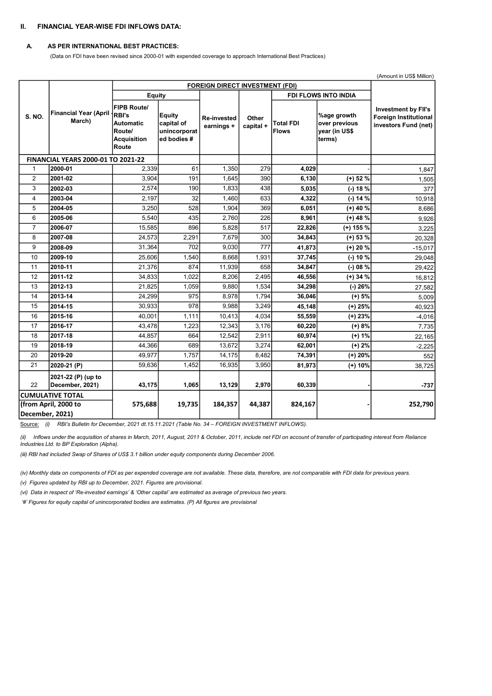### II. FINANCIAL YEAR-WISE FDI INFLOWS DATA:

#### A. AS PER INTERNATIONAL BEST PRACTICES:

(Data on FDI have been revised since 2000-01 with expended coverage to approach International Best Practices)

|                 |                                           |                                                                                          |                                                    |                                        |                    |                           | (Amount in US\$ Million)                                |                                                                                    |
|-----------------|-------------------------------------------|------------------------------------------------------------------------------------------|----------------------------------------------------|----------------------------------------|--------------------|---------------------------|---------------------------------------------------------|------------------------------------------------------------------------------------|
|                 |                                           |                                                                                          |                                                    | <b>FOREIGN DIRECT INVESTMENT (FDI)</b> |                    |                           |                                                         |                                                                                    |
|                 |                                           | Equity                                                                                   |                                                    |                                        |                    |                           | <b>FDI FLOWS INTO INDIA</b>                             |                                                                                    |
| <b>S. NO.</b>   | <b>Financial Year (April</b><br>March)    | <b>FIPB Route/</b><br>RBI's<br><b>Automatic</b><br>Route/<br><b>Acquisition</b><br>Route | Equity<br>capital of<br>unincorporat<br>ed bodies# | <b>Re-invested</b><br>earnings +       | Other<br>capital + | Total FDI<br><b>Flows</b> | %age growth<br>over previous<br>year (in US\$<br>terms) | <b>Investment by FII's</b><br><b>Foreign Institutional</b><br>investors Fund (net) |
|                 | <b>FINANCIAL YEARS 2000-01 TO 2021-22</b> |                                                                                          |                                                    |                                        |                    |                           |                                                         |                                                                                    |
| $\mathbf{1}$    | 2000-01                                   | 2,339                                                                                    | 61                                                 | 1,350                                  | 279                | 4,029                     |                                                         | 1,847                                                                              |
| 2               | 2001-02                                   | 3,904                                                                                    | 191                                                | 1,645                                  | 390                | 6,130                     | $(+)$ 52 %                                              | 1,505                                                                              |
| 3               | 2002-03                                   | 2,574                                                                                    | 190                                                | 1,833                                  | 438                | 5,035                     | (-) 18 %                                                | 377                                                                                |
| 4               | 2003-04                                   | 2,197                                                                                    | 32                                                 | 1,460                                  | 633                | 4,322                     | (-) 14 %                                                | 10,918                                                                             |
| 5               | 2004-05                                   | 3,250                                                                                    | 528                                                | 1,904                                  | 369                | 6,051                     | $(+)$ 40 %                                              | 8,686                                                                              |
| 6               | 2005-06                                   | 5,540                                                                                    | 435                                                | 2,760                                  | 226                | 8,961                     | $(+)$ 48 %                                              | 9,926                                                                              |
| $\overline{7}$  | 2006-07                                   | 15,585                                                                                   | 896                                                | 5,828                                  | 517                | 22,826                    | $(+)$ 155 %                                             | 3,225                                                                              |
| 8               | 2007-08                                   | 24,573                                                                                   | 2,291                                              | 7,679                                  | 300                | 34,843                    | $(+)$ 53 $%$                                            | 20,328                                                                             |
| 9               | 2008-09                                   | 31,364                                                                                   | 702                                                | 9,030                                  | 777                | 41,873                    | $(+) 20 %$                                              | $-15,017$                                                                          |
| 10              | 2009-10                                   | 25,606                                                                                   | $\overline{1,540}$                                 | 8,668                                  | 1,931              | 37,745                    | $(-) 10\%$                                              | 29,048                                                                             |
| 11              | 2010-11                                   | 21,376                                                                                   | 874                                                | 11,939                                 | 658                | 34,847                    | $(-) 08 \%$                                             | 29,422                                                                             |
| 12              | 2011-12                                   | 34,833                                                                                   | 1,022                                              | 8,206                                  | 2,495              | 46,556                    | $(+)$ 34 %                                              | 16,812                                                                             |
| 13              | 2012-13                                   | 21,825                                                                                   | 1,059                                              | 9,880                                  | 1,534              | 34,298                    | (-) 26%                                                 | 27,582                                                                             |
| 14              | 2013-14                                   | 24,299                                                                                   | 975                                                | 8.978                                  | 1.794              | 36,046                    | $(+) 5%$                                                | 5,009                                                                              |
| 15              | 2014-15                                   | 30,933                                                                                   | 978                                                | 9.988                                  | 3,249              | 45,148                    | $(+)$ 25%                                               | 40,923                                                                             |
| 16              | 2015-16                                   | 40,001                                                                                   | 1,111                                              | 10,413                                 | 4,034              | 55,559                    | $(+)$ 23%                                               | $-4,016$                                                                           |
| 17              | 2016-17                                   | 43,478                                                                                   | 1,223                                              | 12,343                                 | 3,176              | 60,220                    | $(+) 8%$                                                | 7,735                                                                              |
| 18              | 2017-18                                   | 44,857                                                                                   | 664                                                | 12,542                                 | 2,911              | 60,974                    | $(+) 1%$                                                | 22,165                                                                             |
| 19              | 2018-19                                   | 44,366                                                                                   | 689                                                | 13,672                                 | 3,274              | 62,001                    | $(+) 2%$                                                | $-2,225$                                                                           |
| 20              | 2019-20                                   | 49,977                                                                                   | 1,757                                              | 14,175                                 | 8,482              | 74,391                    | $(+)$ 20%                                               | 552                                                                                |
| 21              | 2020-21 (P)                               | 59,636                                                                                   | 1,452                                              | 16,935                                 | 3,950              | 81,973                    | (+) 10%                                                 | 38,725                                                                             |
| 22              | 2021-22 (P) (up to<br>December, 2021)     | 43,175                                                                                   | 1,065                                              | 13,129                                 | 2,970              | 60,339                    |                                                         | $-737$                                                                             |
|                 | <b>CUMULATIVE TOTAL</b>                   |                                                                                          |                                                    |                                        |                    |                           |                                                         |                                                                                    |
|                 | (from April, 2000 to                      | 575,688                                                                                  | 19,735                                             | 184,357                                | 44,387             | 824,167                   |                                                         | 252,790                                                                            |
| December, 2021) |                                           |                                                                                          |                                                    |                                        |                    |                           |                                                         |                                                                                    |

Source: (i) RBI's Bulletin for December, 2021 dt.15.11.2021 (Table No. 34 – FOREIGN INVESTMENT INFLOWS).

(ii) Inflows under the acquisition of shares in March, 2011, August, 2011 & October, 2011, include net FDI on account of transfer of participating interest from Reliance Industries Ltd. to BP Exploration (Alpha).

(iii) RBI had included Swap of Shares of US\$ 3.1 billion under equity components during December 2006.

(iv) Monthly data on components of FDI as per expended coverage are not available. These data, therefore, are not comparable with FDI data for previous years.

(v) Figures updated by RBI up to December, 2021. Figures are provisional.

(vi) Data in respect of 'Re-invested earnings' & 'Other capital' are estimated as average of previous two years.

'#' Figures for equity capital of unincorporated bodies are estimates. (P) All figures are provisional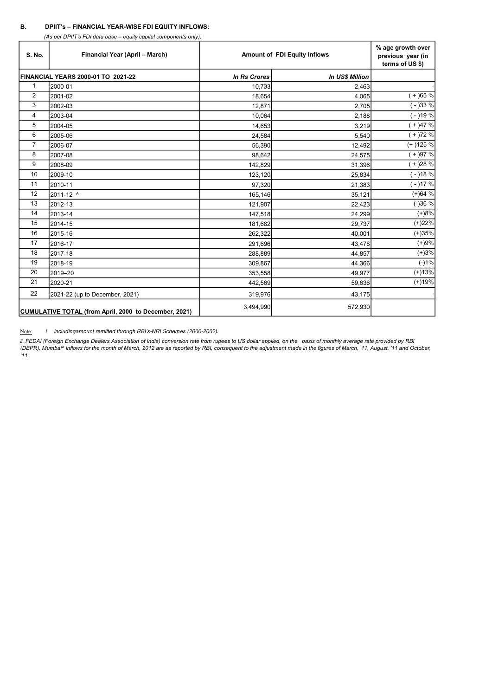### B. DPIIT's – FINANCIAL YEAR-WISE FDI EQUITY INFLOWS:

(As per DPIIT's FDI data base – equity capital components only):

| S. No.         | Financial Year (April - March)                        | <b>Amount of FDI Equity Inflows</b> | % age growth over<br>previous year (in<br>terms of US \$) |           |
|----------------|-------------------------------------------------------|-------------------------------------|-----------------------------------------------------------|-----------|
|                | FINANCIAL YEARS 2000-01 TO 2021-22                    | <b>In Rs Crores</b>                 | <b>In US\$ Million</b>                                    |           |
| $\mathbf{1}$   | 2000-01                                               | 10,733                              | 2,463                                                     |           |
| $\overline{2}$ | 2001-02                                               | 18,654                              | 4,065                                                     | $(+)65%$  |
| 3              | 2002-03                                               | 12,871                              | 2,705                                                     | $(-)33%$  |
| 4              | 2003-04                                               | 10,064                              | 2,188                                                     | $(-)19%$  |
| 5              | 2004-05                                               | 14,653                              | 3,219                                                     | $(+)47%$  |
| 6              | 2005-06                                               | 24,584                              | 5,540                                                     | $(+)72%$  |
| $\overline{7}$ | 2006-07                                               | 56,390                              | 12,492                                                    | $(+)125%$ |
| 8              | 2007-08                                               | 98,642                              | 24,575                                                    | $(+)97%$  |
| 9              | 2008-09                                               | 142,829                             | 31,396                                                    | $(+)28%$  |
| 10             | 2009-10                                               | 123,120                             | 25,834                                                    | $(-)18%$  |
| 11             | 2010-11                                               | 97,320                              | 21,383                                                    | $(-)17%$  |
| 12             | 2011-12 ^                                             | 165,146                             | 35,121                                                    | $(+)64%$  |
| 13             | 2012-13                                               | 121,907                             | 22,423                                                    | $(-)36%$  |
| 14             | 2013-14                                               | 147,518                             | 24,299                                                    | $(+)8%$   |
| 15             | 2014-15                                               | 181,682                             | 29,737                                                    | $(+)22%$  |
| 16             | 2015-16                                               | 262,322                             | 40,001                                                    | $(+)35%$  |
| 17             | 2016-17                                               | 291,696                             | 43,478                                                    | $(+)9%$   |
| 18             | 2017-18                                               | 288,889                             | 44,857                                                    | $(+)3%$   |
| 19             | 2018-19                                               | 309,867                             | 44,366                                                    | $(-)1%$   |
| 20             | 2019-20                                               | 353,558                             | 49,977                                                    | $(+)13%$  |
| 21             | 2020-21                                               | 442,569                             | 59,636                                                    | $(+)19%$  |
| 22             | 2021-22 (up to December, 2021)                        | 319,976                             | 43,175                                                    |           |
|                | CUMULATIVE TOTAL (from April, 2000 to December, 2021) | 3,494,990                           | 572,930                                                   |           |

Note: *i* includingamount remitted through RBI's-NRI Schemes (2000-2002).

ii. FEDAI (Foreign Exchange Dealers Association of India) conversion rate from rupees to US dollar applied, on the basis of monthly average rate provided by RBI (DEPR), Mumbai^ Inflows for the month of March, 2012 are as reported by RBI, consequent to the adjustment made in the figures of March, '11, August, '11 and October,  $41.$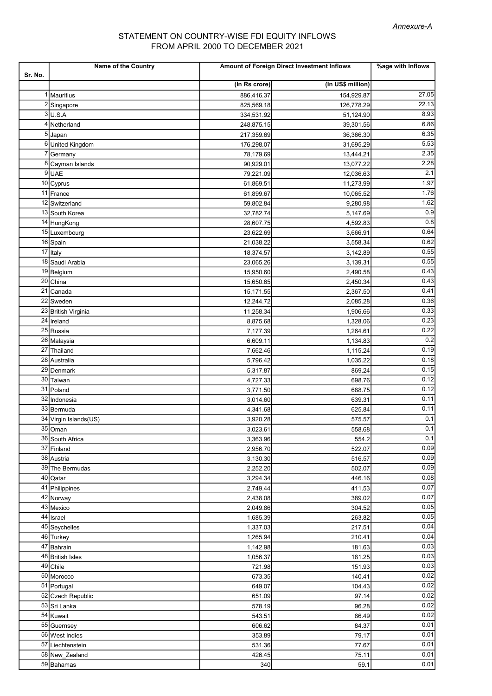# FROM APRIL 2000 TO DECEMBER 2021 STATEMENT ON COUNTRY-WISE FDI EQUITY INFLOWS

| Sr. No. | Name of the Country              | Amount of Foreign Direct Investment Inflows | %age with Inflows |              |
|---------|----------------------------------|---------------------------------------------|-------------------|--------------|
|         |                                  | (In Rs crore)                               | (In US\$ million) |              |
|         | 1 Mauritius                      | 886,416.37                                  | 154,929.87        | 27.05        |
|         | 2 Singapore                      | 825,569.18                                  | 126,778.29        | 22.13        |
|         | $3$ U.S.A                        | 334,531.92                                  | 51,124.90         | 8.93         |
|         | 4 Netherland                     | 248,875.15                                  | 39,301.56         | 6.86         |
|         | 5 Japan                          | 217,359.69                                  | 36,366.30         | 6.35         |
|         | 6United Kingdom                  | 176,298.07                                  | 31,695.29         | 5.53         |
|         | 7 Germany                        | 78,179.69                                   | 13,444.21         | 2.35         |
|         | 8 Cayman Islands                 | 90,929.01                                   | 13,077.22         | 2.28         |
|         | $9$ UAE                          | 79,221.09                                   | 12,036.63         | 2.1          |
|         | 10 Cyprus                        | 61,869.51                                   | 11,273.99         | 1.97         |
|         | 11 France                        | 61,899.67                                   | 10,065.52         | 1.76         |
|         | 12 Switzerland                   | 59,802.84                                   | 9,280.98          | 1.62         |
|         | 13 South Korea                   | 32,782.74                                   | 5,147.69          | 0.9          |
|         | 14 HongKong                      | 28,607.75                                   | 4,592.83          | 0.8          |
|         | 15 Luxembourg                    | 23,622.69                                   | 3,666.91          | 0.64         |
|         | 16 Spain                         | 21,038.22                                   | 3,558.34          | 0.62         |
|         | $17$  Italy                      | 18,374.57                                   | 3,142.89          | 0.55         |
|         | 18 Saudi Arabia                  | 23,065.26                                   | 3,139.31          | 0.55         |
|         | 19 Belgium                       | 15,950.60                                   | 2,490.58          | 0.43         |
|         | 20 China                         | 15,650.65                                   | 2,450.34          | 0.43         |
|         | 21 Canada                        | 15,171.55                                   | 2,367.50          | 0.41         |
|         | 22 Sweden                        | 12,244.72                                   | 2,085.28          | 0.36         |
|         | 23 British Virginia              | 11,258.34                                   | 1,906.66          | 0.33         |
|         | $24$ Ireland                     | 8,875.68                                    | 1,328.06          | 0.23         |
|         | 25 Russia                        | 7,177.39                                    | 1,264.61          | 0.22         |
|         | 26 Malaysia                      | 6,609.11                                    | 1,134.83          | 0.2          |
|         | 27 Thailand                      | 7,662.46                                    | 1,115.24          | 0.19         |
|         | 28 Australia                     | 5,796.42                                    | 1,035.22          | 0.18         |
|         | 29 Denmark                       | 5,317.87                                    | 869.24            | 0.15         |
|         | 30 Taiwan                        | 4,727.33                                    | 698.76            | 0.12         |
|         | 31 Poland                        | 3,771.50                                    | 688.75            | 0.12         |
|         | 32 Indonesia                     | 3,014.60                                    | 639.31            | 0.11<br>0.11 |
|         | 33 Bermuda                       | 4,341.68                                    | 625.84            | 0.1          |
|         | 34 Virgin Islands(US)<br>35 Oman | 3,920.28                                    | 575.57            | 0.1          |
|         | 36 South Africa                  | 3,023.61<br>3,363.96                        | 558.68<br>554.2   | 0.1          |
|         | 37 Finland                       | 2,956.70                                    | 522.07            | 0.09         |
|         | 38 Austria                       | 3,130.30                                    | 516.57            | 0.09         |
|         | 39 The Bermudas                  | 2,252.20                                    | 502.07            | 0.09         |
|         | 40 Qatar                         | 3,294.34                                    | 446.16            | 0.08         |
|         | 41 Philippines                   | 2,749.44                                    | 411.53            | 0.07         |
|         | 42 Norway                        | 2,438.08                                    | 389.02            | 0.07         |
|         | 43 Mexico                        | 2,049.86                                    | 304.52            | 0.05         |
|         | 44 Israel                        | 1,685.39                                    | 263.82            | 0.05         |
|         | 45 Seychelles                    | 1,337.03                                    | 217.51            | 0.04         |
|         | 46 Turkey                        | 1,265.94                                    | 210.41            | 0.04         |
|         | 47 Bahrain                       | 1,142.98                                    | 181.63            | 0.03         |
|         | 48 British Isles                 | 1,056.37                                    | 181.25            | 0.03         |
|         | $\overline{49}$ Chile            | 721.98                                      | 151.93            | 0.03         |
|         | 50 Morocco                       | 673.35                                      | 140.41            | 0.02         |
|         | 51 Portugal                      | 649.07                                      | 104.43            | 0.02         |
|         | 52 Czech Republic                | 651.09                                      | 97.14             | 0.02         |
|         | 53 Sri Lanka                     | 578.19                                      | 96.28             | 0.02         |
|         | 54 Kuwait                        | 543.51                                      | 86.49             | 0.02         |
|         | 55 Guernsey                      | 606.62                                      | 84.37             | 0.01         |
|         | 56 West Indies                   | 353.89                                      | 79.17             | 0.01         |
|         | 57 Liechtenstein                 | 531.36                                      | 77.67             | 0.01         |
|         | 58 New Zealand                   | 426.45                                      | 75.11             | 0.01         |
|         | 59 Bahamas                       | 340                                         | 59.1              | 0.01         |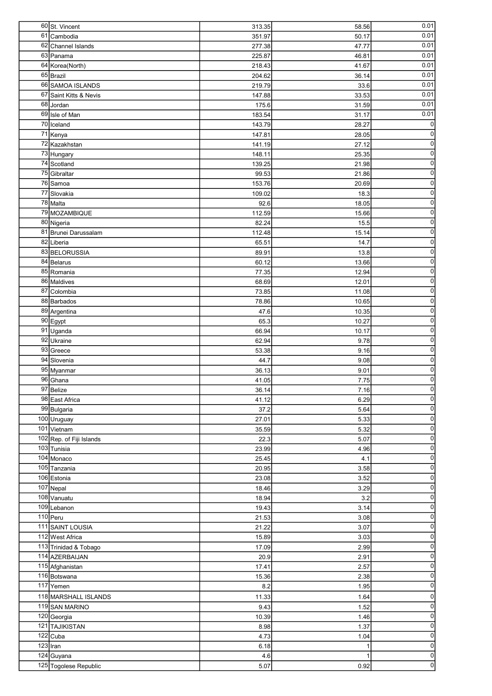|    | 60 St. Vincent                      | 313.35      | 58.56        | 0.01                                                                                                                                                                             |
|----|-------------------------------------|-------------|--------------|----------------------------------------------------------------------------------------------------------------------------------------------------------------------------------|
| 61 | Cambodia                            | 351.97      | 50.17        | 0.01                                                                                                                                                                             |
|    | 62 Channel Islands                  | 277.38      | 47.77        | 0.01                                                                                                                                                                             |
|    | 63 Panama                           | 225.87      | 46.81        | 0.01                                                                                                                                                                             |
|    | 64 Korea (North)                    | 218.43      | 41.67        | 0.01                                                                                                                                                                             |
|    | $65$ Brazil                         | 204.62      | 36.14        | 0.01                                                                                                                                                                             |
|    | 66 SAMOA ISLANDS                    | 219.79      | 33.6         | 0.01                                                                                                                                                                             |
|    | 67 Saint Kitts & Nevis              | 147.88      | 33.53        | 0.01                                                                                                                                                                             |
|    | 68 Jordan                           | 175.6       | 31.59        | 0.01                                                                                                                                                                             |
|    | 69 Isle of Man                      | 183.54      | 31.17        | 0.01                                                                                                                                                                             |
|    | $\overline{70}$ Iceland             | 143.79      | 28.27        | 0                                                                                                                                                                                |
|    | 71 Kenya                            | 147.81      | 28.05        | $\overline{0}$                                                                                                                                                                   |
|    | 72 Kazakhstan                       | 141.19      | 27.12        | $\overline{0}$                                                                                                                                                                   |
|    | 73 Hungary                          | 148.11      | 25.35        | $\overline{0}$                                                                                                                                                                   |
|    | 74 Scotland                         | 139.25      | 21.98        | $\overline{0}$                                                                                                                                                                   |
|    | 75 Gibraltar                        | 99.53       | 21.86        | $\overline{0}$                                                                                                                                                                   |
|    | 76 Samoa                            | 153.76      | 20.69        | $\overline{0}$                                                                                                                                                                   |
|    | 77 Slovakia                         | 109.02      | 18.3         | $\overline{0}$                                                                                                                                                                   |
|    | $\overline{78}$ Malta               | 92.6        | 18.05        | $\overline{0}$                                                                                                                                                                   |
|    | 79 MOZAMBIQUE                       | 112.59      | 15.66        | $\overline{0}$                                                                                                                                                                   |
|    | 80 Nigeria                          | 82.24       | 15.5         | $\overline{0}$                                                                                                                                                                   |
|    | 81 Brunei Darussalam                | 112.48      | 15.14        | $\overline{0}$                                                                                                                                                                   |
|    | 82 Liberia                          | 65.51       | 14.7         | $\overline{0}$                                                                                                                                                                   |
|    | 83 BELORUSSIA                       | 89.91       | 13.8         | $\overline{\text{o}}$                                                                                                                                                            |
|    | 84 Belarus                          | 60.12       | 13.66        | $\overline{0}$                                                                                                                                                                   |
|    | 85 Romania                          |             |              | $\overline{0}$                                                                                                                                                                   |
|    |                                     | 77.35       | 12.94        | $\overline{0}$                                                                                                                                                                   |
|    | 86 Maldives                         | 68.69       | 12.01        | $\overline{0}$                                                                                                                                                                   |
|    | 87 Colombia                         | 73.85       | 11.08        |                                                                                                                                                                                  |
|    | 88 Barbados                         | 78.86       | 10.65        | $\overline{0}$                                                                                                                                                                   |
|    | 89 Argentina                        | 47.6        | 10.35        | $\overline{0}$                                                                                                                                                                   |
|    | 90 Egypt                            | 65.3        | 10.27        | $\overline{0}$                                                                                                                                                                   |
|    | 91 Uganda                           | 66.94       | 10.17        | $\overline{0}$                                                                                                                                                                   |
|    | 92 Ukraine                          | 62.94       | 9.78         | $\overline{0}$                                                                                                                                                                   |
|    | 93 Greece                           | 53.38       | 9.16         | $\overline{0}$                                                                                                                                                                   |
|    | $\overline{94}$ Slovenia            | 44.7        | 9.08         | $\overline{0}$                                                                                                                                                                   |
|    | 95 Myanmar                          | 36.13       | 9.01         | $\overline{0}$                                                                                                                                                                   |
|    | 96 Ghana                            | 41.05       | 7.75         | $\overline{0}$                                                                                                                                                                   |
|    | 97 Belize                           | 36.14       | 7.16         | $\Omega$                                                                                                                                                                         |
|    | 98 East Africa                      | 41.12       | 6.29         | $\overline{0}$                                                                                                                                                                   |
|    | 99 Bulgaria                         | 37.2        | 5.64         | $\Omega$                                                                                                                                                                         |
|    | 100 Uruguay                         | 27.01       | 5.33         | $\overline{0}$                                                                                                                                                                   |
|    | 101 Vietnam                         | 35.59       | 5.32         | $\overline{0}$                                                                                                                                                                   |
|    | 102 Rep. of Fiji Islands            | 22.3        | 5.07         | $\overline{0}$                                                                                                                                                                   |
|    | 103 Tunisia                         | 23.99       | 4.96         | $\overline{0}$                                                                                                                                                                   |
|    | 104 Monaco                          | 25.45       | 4.1          | $\overline{0}$                                                                                                                                                                   |
|    | 105 Tanzania                        | 20.95       | 3.58         | $\overline{0}$                                                                                                                                                                   |
|    |                                     |             |              |                                                                                                                                                                                  |
|    | 106 Estonia                         | 23.08       | 3.52         |                                                                                                                                                                                  |
|    | $107$ Nepal                         | 18.46       | 3.29         |                                                                                                                                                                                  |
|    | 108 Vanuatu                         | 18.94       | 3.2          |                                                                                                                                                                                  |
|    | 109 Lebanon                         | 19.43       | 3.14         |                                                                                                                                                                                  |
|    | $110$ Peru                          | 21.53       | 3.08         | $\overline{0}$                                                                                                                                                                   |
|    | 111 SAINT LOUSIA                    | 21.22       | 3.07         |                                                                                                                                                                                  |
|    | 112 West Africa                     | 15.89       | 3.03         |                                                                                                                                                                                  |
|    | 113 Trinidad & Tobago               | 17.09       | 2.99         |                                                                                                                                                                                  |
|    | 114 AZERBAIJAN                      | 20.9        | 2.91         |                                                                                                                                                                                  |
|    | 115 Afghanistan                     | 17.41       | 2.57         |                                                                                                                                                                                  |
|    | 116 Botswana                        | 15.36       | 2.38         |                                                                                                                                                                                  |
|    | 117 Yemen                           | 8.2         | 1.95         |                                                                                                                                                                                  |
|    | 118 MARSHALL ISLANDS                | 11.33       | 1.64         |                                                                                                                                                                                  |
|    | 119 SAN MARINO                      | 9.43        | 1.52         |                                                                                                                                                                                  |
|    |                                     | 10.39       | 1.46         |                                                                                                                                                                                  |
|    | 120 Georgia                         | 8.98        |              | $\overline{0}$<br>$\overline{0}$<br>$\overline{0}$<br>$\overline{0}$<br>$\overline{0}$<br>$\overline{0}$<br>$\overline{0}$<br>$\overline{0}$<br>$\overline{0}$<br>$\overline{0}$ |
|    | 121 TAJIKISTAN                      |             | 1.37<br>1.04 | $\overline{0}$                                                                                                                                                                   |
|    | $\overline{122}$ Cuba               | 4.73        | 1            |                                                                                                                                                                                  |
|    | $123$  Iran                         | 6.18        | $\mathbf{1}$ |                                                                                                                                                                                  |
|    | 124 Guyana<br>125 Togolese Republic | 4.6<br>5.07 | 0.92         | $\overline{0}$<br>$\overline{0}$<br>$\overline{0}$<br>$\overline{0}$<br>$\overline{0}$<br>$\overline{0}$<br>$\overline{0}$<br>$\overline{0}$                                     |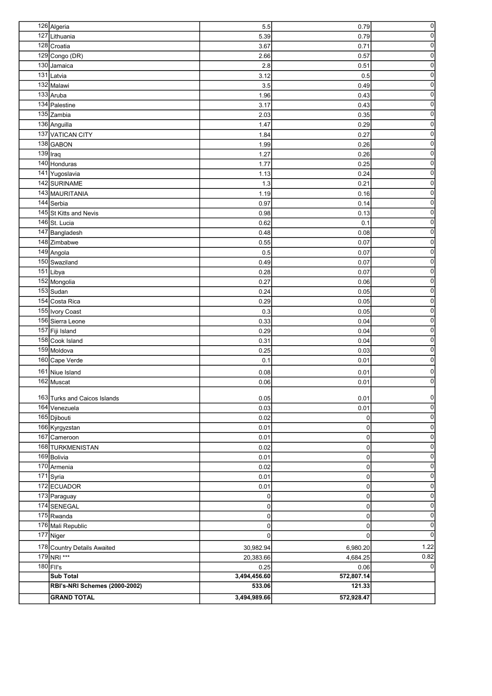|     | 126 Algeria                          | 5.5          | 0.79           | $\overline{0}$          |
|-----|--------------------------------------|--------------|----------------|-------------------------|
| 127 | Lithuania                            | 5.39         | 0.79           | $\overline{0}$          |
|     | 128 Croatia                          | 3.67         | 0.71           | $\overline{0}$          |
|     | 129 Congo (DR)                       | 2.66         | 0.57           | $\overline{0}$          |
|     | 130 Jamaica                          | 2.8          | 0.51           | $\mathbf 0$             |
|     | $\overline{131}$ Latvia              | 3.12         | 0.5            | $\pmb{0}$               |
|     | 132 Malawi                           | 3.5          | 0.49           | $\mathbf 0$             |
|     | 133 Aruba                            | 1.96         | 0.43           | $\mathbf 0$             |
|     | 134 Palestine                        | 3.17         | 0.43           | $\pmb{0}$               |
|     | 135 Zambia                           | 2.03         | 0.35           | $\pmb{0}$               |
|     | 136 Anguilla                         | 1.47         | 0.29           | $\pmb{0}$               |
|     | 137 VATICAN CITY                     | 1.84         | 0.27           | $\mathbf 0$             |
|     | 138 GABON                            | 1.99         | 0.26           | $\overline{0}$          |
|     | $139$  Iraq                          | 1.27         | 0.26           | $\overline{\mathbf{0}}$ |
|     | $140$ Honduras                       | 1.77         | 0.25           | $\overline{0}$          |
|     | 141 Yugoslavia                       | 1.13         | 0.24           | $\overline{0}$          |
|     | 142 SURINAME                         | 1.3          | 0.21           | $\overline{0}$          |
|     |                                      |              |                | $\overline{0}$          |
|     | 143 MAURITANIA                       | 1.19         | 0.16           | $\overline{0}$          |
|     | $\overline{144}$ Serbia              | 0.97         | 0.14           | $\overline{0}$          |
|     | 145 St Kitts and Nevis               | 0.98         | 0.13           |                         |
|     | $\overline{146}$ St. Lucia           | 0.62         | 0.1            | $\overline{0}$          |
|     | 147 Bangladesh                       | 0.48         | 0.08           | $\overline{0}$          |
|     | 148 Zimbabwe                         | 0.55         | 0.07           | $\overline{0}$          |
|     | 149 Angola                           | 0.5          | 0.07           | $\overline{0}$          |
|     | 150 Swaziland                        | 0.49         | 0.07           | $\overline{0}$          |
|     | $\overline{151}$ Libya               | 0.28         | 0.07           | $\overline{0}$          |
|     | 152 Mongolia                         | 0.27         | 0.06           | $\overline{0}$          |
|     | 153 Sudan                            | 0.24         | 0.05           | $\overline{0}$          |
|     | 154 Costa Rica                       | 0.29         | 0.05           | $\overline{0}$          |
|     | 155 Ivory Coast                      | 0.3          | 0.05           | $\overline{0}$          |
|     | 156 Sierra Leone                     | 0.33         | 0.04           | $\overline{0}$          |
|     | 157 Fiji Island                      | 0.29         | 0.04           | $\overline{0}$          |
|     | 158 Cook Island                      | 0.31         | 0.04           | $\overline{0}$          |
|     | 159 Moldova                          | 0.25         | 0.03           | $\overline{0}$          |
|     | 160 Cape Verde                       | 0.1          | 0.01           | $\overline{0}$          |
|     | 161 Niue Island                      | 0.08         | 0.01           | $\overline{0}$          |
|     | 162 Muscat                           | 0.06         | 0.01           | $\overline{0}$          |
|     |                                      |              |                |                         |
|     | 163 Turks and Caicos Islands         | 0.05         | 0.01           | 0                       |
|     | $164$ Venezuela                      | 0.03         | 0.01           | $\overline{0}$          |
|     | 165 Djibouti                         | 0.02         | $\overline{0}$ | $\overline{0}$          |
|     | 166 Kyrgyzstan                       | 0.01         | $\overline{0}$ | $\overline{0}$          |
|     | 167 Cameroon                         | 0.01         | $\mathbf 0$    | $\overline{0}$          |
|     | 168 TURKMENISTAN                     | 0.02         | $\overline{0}$ | $\overline{0}$          |
|     | 169 Bolivia                          | 0.01         | $\overline{0}$ | $\overline{0}$          |
|     | 170 Armenia                          | 0.02         | $\overline{0}$ | $\overline{0}$          |
|     | 171 Syria                            | 0.01         | $\overline{0}$ | $\overline{0}$          |
|     | 172 ECUADOR                          | 0.01         | 0              | $\overline{0}$          |
|     | 173 Paraguay                         | 0            | 0              | $\overline{0}$          |
|     | 174 SENEGAL                          | 0            | 0              | $\overline{0}$          |
|     | 175 Rwanda                           | 0            | 0              | $\overline{0}$          |
|     | 176 Mali Republic                    | 0            | 0              | $\overline{0}$          |
|     | 177 Niger                            | $\Omega$     | $\Omega$       | $\overline{0}$          |
|     | 178 Country Details Awaited          | 30,982.94    | 6,980.20       | 1.22                    |
|     | 179 NRI ***                          | 20,383.66    | 4,684.25       | 0.82                    |
|     | 180 FII's                            | 0.25         | 0.06           | $\Omega$                |
|     | Sub Total                            | 3,494,456.60 | 572,807.14     |                         |
|     | <b>RBI's-NRI Schemes (2000-2002)</b> | 533.06       | 121.33         |                         |
|     | <b>GRAND TOTAL</b>                   | 3,494,989.66 | 572,928.47     |                         |
|     |                                      |              |                |                         |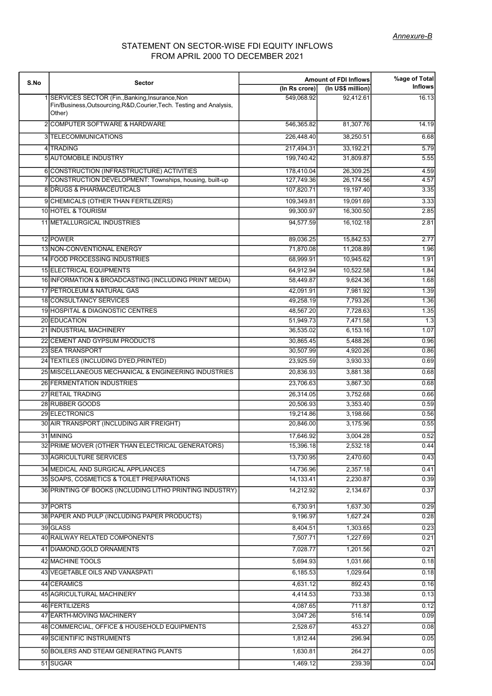# STATEMENT ON SECTOR-WISE FDI EQUITY INFLOWS FROM APRIL 2000 TO DECEMBER 2021

| S.No | Sector                                                                                                                           |               | <b>Amount of FDI Inflows</b> | %age of Total  |
|------|----------------------------------------------------------------------------------------------------------------------------------|---------------|------------------------------|----------------|
|      |                                                                                                                                  | (In Rs crore) | (In US\$ million)            | <b>Inflows</b> |
|      | SERVICES SECTOR (Fin., Banking, Insurance, Non<br>Fin/Business, Outsourcing, R&D, Courier, Tech. Testing and Analysis,<br>Other) | 549,068.92    | 92,412.61                    | 16.13          |
|      | 2 COMPUTER SOFTWARE & HARDWARE                                                                                                   | 546,365.82    | 81,307.76                    | 14.19          |
|      | 3 TELECOMMUNICATIONS                                                                                                             | 226,448.40    | 38,250.51                    | 6.68           |
|      | 4 TRADING                                                                                                                        | 217,494.31    | 33,192.21                    | 5.79           |
|      | <b>5 AUTOMOBILE INDUSTRY</b>                                                                                                     | 199,740.42    | 31,809.87                    | 5.55           |
|      | 6 CONSTRUCTION (INFRASTRUCTURE) ACTIVITIES                                                                                       | 178.410.04    | 26,309.25                    | 4.59           |
|      | 7 CONSTRUCTION DEVELOPMENT: Townships, housing, built-up                                                                         | 127,749.36    | 26,174.56                    | 4.57           |
|      | <b>8DRUGS &amp; PHARMACEUTICALS</b>                                                                                              | 107,820.71    | 19,197.40                    | 3.35           |
|      | 9 CHEMICALS (OTHER THAN FERTILIZERS)                                                                                             | 109,349.81    | 19,091.69                    | 3.33           |
|      | 10 HOTEL & TOURISM                                                                                                               | 99,300.97     | 16,300.50                    | 2.85           |
|      | 11 METALLURGICAL INDUSTRIES                                                                                                      | 94,577.59     | 16,102.18                    | 2.81           |
|      | 12 POWER                                                                                                                         | 89,036.25     | 15,842.53                    | 2.77           |
|      | 13 NON-CONVENTIONAL ENERGY                                                                                                       | 71,870.08     | 11,208.89                    | 1.96           |
|      | 14 FOOD PROCESSING INDUSTRIES                                                                                                    | 68,999.91     | 10,945.62                    | 1.91           |
|      | <b>15 ELECTRICAL EQUIPMENTS</b>                                                                                                  | 64,912.94     | 10,522.58                    | 1.84           |
|      | 16 INFORMATION & BROADCASTING (INCLUDING PRINT MEDIA)                                                                            | 58,449.87     | 9,624.36                     | 1.68           |
|      | 17 PETROLEUM & NATURAL GAS                                                                                                       | 42.091.91     | 7,981.92                     | 1.39           |
|      | 18 CONSULTANCY SERVICES                                                                                                          | 49,258.19     | 7,793.26                     | 1.36           |
|      | <b>19 HOSPITAL &amp; DIAGNOSTIC CENTRES</b>                                                                                      | 48,567.20     | 7,728.63                     | 1.35           |
|      | 20 EDUCATION                                                                                                                     | 51,949.73     | 7,471.58                     | 1.3            |
|      | 21 INDUSTRIAL MACHINERY                                                                                                          | 36,535.02     | 6,153.16                     | 1.07           |
|      | 22 CEMENT AND GYPSUM PRODUCTS                                                                                                    | 30,865.45     | 5,488.26                     | 0.96           |
|      | 23 SEA TRANSPORT                                                                                                                 | 30,507.99     | 4,920.26                     | 0.86           |
|      | 24 TEXTILES (INCLUDING DYED, PRINTED)                                                                                            | 23,925.59     | 3,930.33                     | 0.69           |
|      | 25 MISCELLANEOUS MECHANICAL & ENGINEERING INDUSTRIES                                                                             | 20,836.93     | 3,881.38                     | 0.68           |
|      | 26 FERMENTATION INDUSTRIES                                                                                                       | 23,706.63     | 3,867.30                     | 0.68           |
|      | 27 RETAIL TRADING                                                                                                                | 26.314.05     | 3,752.68                     | 0.66           |
|      | 28 RUBBER GOODS                                                                                                                  | 20,506.93     | 3,353.40                     | 0.59           |
|      | 29 ELECTRONICS                                                                                                                   | 19,214.86     | 3,198.66                     | 0.56           |
|      | 30 AIR TRANSPORT (INCLUDING AIR FREIGHT)                                                                                         | 20,846.00     | 3,175.96                     | 0.55           |
|      | 31 MINING                                                                                                                        | 17,646.92     | 3,004.28                     | 0.52           |
|      | 32 PRIME MOVER (OTHER THAN ELECTRICAL GENERATORS)                                                                                | 15,396.18     | 2,532.18                     | 0.44           |
|      | 33 AGRICULTURE SERVICES                                                                                                          | 13,730.95     | 2.470.60                     | 0.43           |
|      | 34 MEDICAL AND SURGICAL APPLIANCES                                                                                               | 14,736.96     | 2,357.18                     | 0.41           |
|      | 35 SOAPS, COSMETICS & TOILET PREPARATIONS                                                                                        | 14,133.41     | 2,230.87                     | 0.39           |
|      | 36 PRINTING OF BOOKS (INCLUDING LITHO PRINTING INDUSTRY)                                                                         | 14,212.92     | 2,134.67                     | 0.37           |
|      | 37 PORTS                                                                                                                         | 6,730.91      | 1,637.30                     | 0.29           |
|      | 38 PAPER AND PULP (INCLUDING PAPER PRODUCTS)                                                                                     | 9,196.97      | 1,627.24                     | 0.28           |
|      | 39 GLASS                                                                                                                         | 8,404.51      | 1,303.65                     | 0.23           |
|      | 40 RAILWAY RELATED COMPONENTS                                                                                                    | 7,507.71      | 1,227.69                     | 0.21           |
|      | 41 DIAMOND, GOLD ORNAMENTS                                                                                                       | 7,028.77      | 1,201.56                     | 0.21           |
|      | 42 MACHINE TOOLS                                                                                                                 | 5,694.93      | 1,031.66                     | 0.18           |
|      | 43 VEGETABLE OILS AND VANASPATI                                                                                                  | 6,185.53      | 1,029.64                     | 0.18           |
|      | 44 CERAMICS                                                                                                                      | 4,631.12      | 892.43                       | 0.16           |
|      | 45 AGRICULTURAL MACHINERY                                                                                                        | 4,414.53      | 733.38                       | 0.13           |
|      | 46 FERTILIZERS                                                                                                                   | 4,087.65      | 711.87                       | 0.12           |
|      | 47 EARTH-MOVING MACHINERY                                                                                                        | 3,047.26      | 516.14                       | 0.09           |
|      | 48 COMMERCIAL, OFFICE & HOUSEHOLD EQUIPMENTS                                                                                     | 2,528.67      | 453.27                       | 0.08           |
|      | 49 SCIENTIFIC INSTRUMENTS                                                                                                        | 1,812.44      | 296.94                       | 0.05           |
|      | 50 BOILERS AND STEAM GENERATING PLANTS                                                                                           | 1,630.81      | 264.27                       | 0.05           |
|      | 51 SUGAR                                                                                                                         | 1,469.12      | 239.39                       | 0.04           |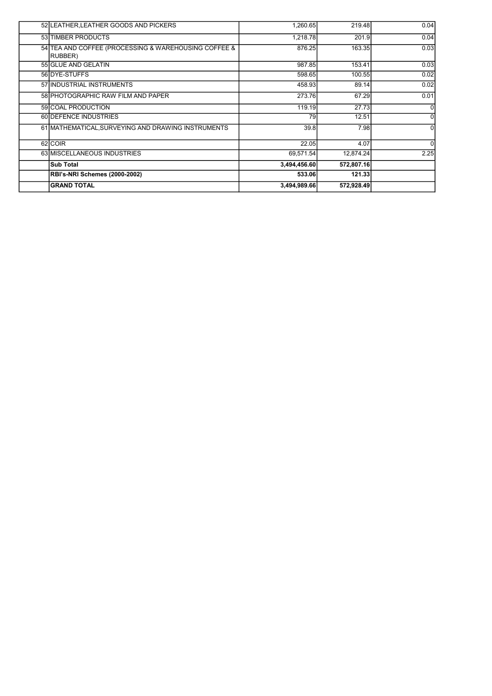| 52 LEATHER, LEATHER GOODS AND PICKERS                           | 1.260.65     | 219.48     | 0.04     |
|-----------------------------------------------------------------|--------------|------------|----------|
| 53 TIMBER PRODUCTS                                              | 1,218.78     | 201.9      | 0.04     |
| 54 TEA AND COFFEE (PROCESSING & WAREHOUSING COFFEE &<br>RUBBER) | 876.25       | 163.35     | 0.03     |
| 55 GLUE AND GELATIN                                             | 987.85       | 153.41     | 0.03     |
| 56 DYE-STUFFS                                                   | 598.65       | 100.55     | 0.02     |
| 57 INDUSTRIAL INSTRUMENTS                                       | 458.93       | 89.14      | 0.02     |
| 58 PHOTOGRAPHIC RAW FILM AND PAPER                              | 273.76       | 67.29      | 0.01     |
| 59 COAL PRODUCTION                                              | 119.19       | 27.73      | 0        |
| 60 <b>IDEFENCE INDUSTRIES</b>                                   | 79           | 12.51      | $\Omega$ |
| 61 MATHEMATICAL, SURVEYING AND DRAWING INSTRUMENTS              | 39.8         | 7.98       |          |
| 62 COIR                                                         | 22.05        | 4.07       | $\Omega$ |
| 63 MISCELLANEOUS INDUSTRIES                                     | 69,571.54    | 12,874.24  | 2.25     |
| <b>Sub Total</b>                                                | 3,494,456.60 | 572,807.16 |          |
| <b>RBI's-NRI Schemes (2000-2002)</b>                            | 533.06       | 121.33     |          |
| <b>GRAND TOTAL</b>                                              | 3,494,989.66 | 572,928.49 |          |